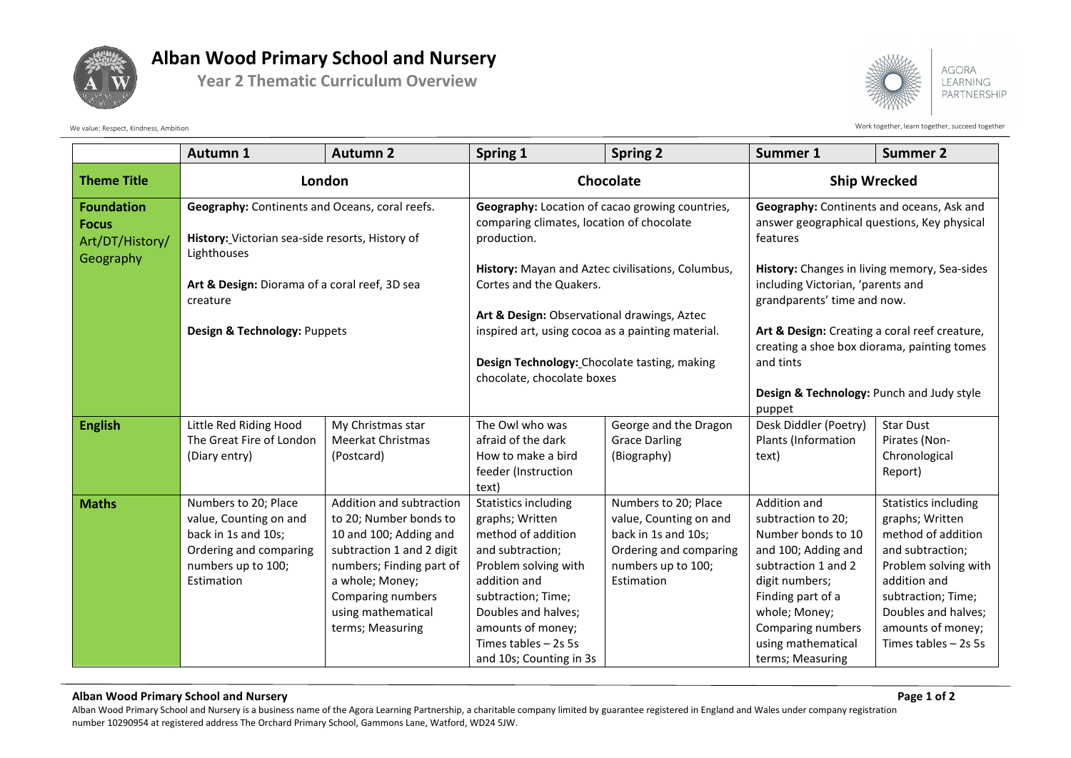

## **Alban Wood Primary School and Nursery**

**Year 2 Thematic Curriculum Overview**



Work together, learn together, learn together, succeed together

|                                                      | Autumn 1                                                                                                                                                                                                      | <b>Autumn 2</b>                                                                                                                                                                                                         | Spring 1                                                                                                                                                                                                                                               | <b>Spring 2</b>                                                                                                                     | Summer 1                                                                                                                                                                                                                      | <b>Summer 2</b>                                                                                                                                                                                                             |
|------------------------------------------------------|---------------------------------------------------------------------------------------------------------------------------------------------------------------------------------------------------------------|-------------------------------------------------------------------------------------------------------------------------------------------------------------------------------------------------------------------------|--------------------------------------------------------------------------------------------------------------------------------------------------------------------------------------------------------------------------------------------------------|-------------------------------------------------------------------------------------------------------------------------------------|-------------------------------------------------------------------------------------------------------------------------------------------------------------------------------------------------------------------------------|-----------------------------------------------------------------------------------------------------------------------------------------------------------------------------------------------------------------------------|
| <b>Theme Title</b>                                   | London                                                                                                                                                                                                        |                                                                                                                                                                                                                         | Chocolate                                                                                                                                                                                                                                              |                                                                                                                                     | <b>Ship Wrecked</b>                                                                                                                                                                                                           |                                                                                                                                                                                                                             |
| <b>Foundation</b><br><b>Focus</b><br>Art/DT/History/ | Geography: Continents and Oceans, coral reefs.<br>History: Victorian sea-side resorts, History of<br>Lighthouses<br>Art & Design: Diorama of a coral reef, 3D sea<br>creature<br>Design & Technology: Puppets |                                                                                                                                                                                                                         | Geography: Location of cacao growing countries,<br>comparing climates, location of chocolate<br>production.                                                                                                                                            |                                                                                                                                     | Geography: Continents and oceans, Ask and<br>answer geographical questions, Key physical<br>features                                                                                                                          |                                                                                                                                                                                                                             |
| Geography                                            |                                                                                                                                                                                                               |                                                                                                                                                                                                                         | History: Mayan and Aztec civilisations, Columbus,<br>Cortes and the Quakers.                                                                                                                                                                           |                                                                                                                                     | History: Changes in living memory, Sea-sides<br>including Victorian, 'parents and<br>grandparents' time and now.                                                                                                              |                                                                                                                                                                                                                             |
|                                                      |                                                                                                                                                                                                               |                                                                                                                                                                                                                         | Art & Design: Observational drawings, Aztec<br>inspired art, using cocoa as a painting material.<br>Design Technology: Chocolate tasting, making                                                                                                       |                                                                                                                                     | Art & Design: Creating a coral reef creature,<br>creating a shoe box diorama, painting tomes<br>and tints                                                                                                                     |                                                                                                                                                                                                                             |
|                                                      |                                                                                                                                                                                                               |                                                                                                                                                                                                                         | chocolate, chocolate boxes                                                                                                                                                                                                                             |                                                                                                                                     | Design & Technology: Punch and Judy style<br>puppet                                                                                                                                                                           |                                                                                                                                                                                                                             |
| <b>English</b>                                       | Little Red Riding Hood<br>The Great Fire of London<br>(Diary entry)                                                                                                                                           | My Christmas star<br><b>Meerkat Christmas</b><br>(Postcard)                                                                                                                                                             | The Owl who was<br>afraid of the dark<br>How to make a bird<br>feeder (Instruction<br>text)                                                                                                                                                            | George and the Dragon<br><b>Grace Darling</b><br>(Biography)                                                                        | Desk Diddler (Poetry)<br>Plants (Information<br>text)                                                                                                                                                                         | <b>Star Dust</b><br>Pirates (Non-<br>Chronological<br>Report)                                                                                                                                                               |
| <b>Maths</b>                                         | Numbers to 20; Place<br>value, Counting on and<br>back in 1s and 10s;<br>Ordering and comparing<br>numbers up to 100;<br>Estimation                                                                           | Addition and subtraction<br>to 20; Number bonds to<br>10 and 100; Adding and<br>subtraction 1 and 2 digit<br>numbers; Finding part of<br>a whole; Money;<br>Comparing numbers<br>using mathematical<br>terms; Measuring | <b>Statistics including</b><br>graphs; Written<br>method of addition<br>and subtraction;<br>Problem solving with<br>addition and<br>subtraction; Time;<br>Doubles and halves;<br>amounts of money;<br>Times tables $-2s$ 5s<br>and 10s; Counting in 3s | Numbers to 20; Place<br>value, Counting on and<br>back in 1s and 10s;<br>Ordering and comparing<br>numbers up to 100;<br>Estimation | Addition and<br>subtraction to 20;<br>Number bonds to 10<br>and 100; Adding and<br>subtraction 1 and 2<br>digit numbers;<br>Finding part of a<br>whole; Money;<br>Comparing numbers<br>using mathematical<br>terms; Measuring | <b>Statistics including</b><br>graphs; Written<br>method of addition<br>and subtraction;<br>Problem solving with<br>addition and<br>subtraction; Time;<br>Doubles and halves;<br>amounts of money;<br>Times tables $-2s$ 5s |

## **Alban Wood Primary School and Nursery Page 1 of 2**

Alban Wood Primary School and Nursery is a business name of the Agora Learning Partnership, a charitable company limited by guarantee registered in England and Wales under company registration number 10290954 at registered address The Orchard Primary School, Gammons Lane, Watford, WD24 5JW.